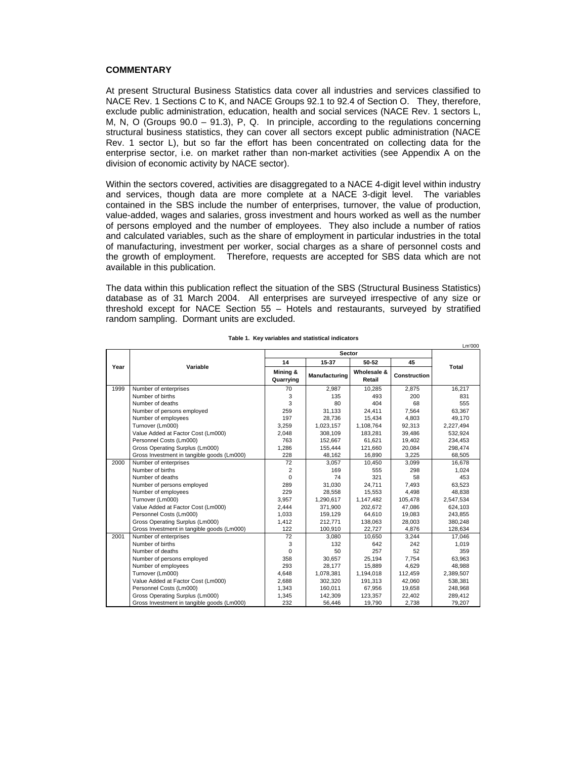## **COMMENTARY**

At present Structural Business Statistics data cover all industries and services classified to NACE Rev. 1 Sections C to K, and NACE Groups 92.1 to 92.4 of Section O. They, therefore, exclude public administration, education, health and social services (NACE Rev. 1 sectors L, M, N, O (Groups 90.0 – 91.3), P, Q. In principle, according to the regulations concerning structural business statistics, they can cover all sectors except public administration (NACE Rev. 1 sector L), but so far the effort has been concentrated on collecting data for the enterprise sector, i.e. on market rather than non-market activities (see Appendix A on the division of economic activity by NACE sector).

Within the sectors covered, activities are disaggregated to a NACE 4-digit level within industry and services, though data are more complete at a NACE 3-digit level. The variables contained in the SBS include the number of enterprises, turnover, the value of production, value-added, wages and salaries, gross investment and hours worked as well as the number of persons employed and the number of employees. They also include a number of ratios and calculated variables, such as the share of employment in particular industries in the total of manufacturing, investment per worker, social charges as a share of personnel costs and the growth of employment. Therefore, requests are accepted for SBS data which are not available in this publication.

The data within this publication reflect the situation of the SBS (Structural Business Statistics) database as of 31 March 2004. All enterprises are surveyed irrespective of any size or threshold except for NACE Section 55 – Hotels and restaurants, surveyed by stratified random sampling. Dormant units are excluded.

|      | Sector                                     |                       |               |                       |              |           |
|------|--------------------------------------------|-----------------------|---------------|-----------------------|--------------|-----------|
|      | Variable                                   | 14                    | 15-37         | 50-52                 | 45           |           |
| Year |                                            | Mining &<br>Quarrying | Manufacturing | Wholesale &<br>Retail | Construction | Total     |
| 1999 | Number of enterprises                      | 70                    | 2,987         | 10,285                | 2,875        | 16,217    |
|      | Number of births                           | 3                     | 135           | 493                   | 200          | 831       |
|      | Number of deaths                           | 3                     | 80            | 404                   | 68           | 555       |
|      | Number of persons employed                 | 259                   | 31,133        | 24,411                | 7,564        | 63,367    |
|      | Number of employees                        | 197                   | 28,736        | 15,434                | 4,803        | 49,170    |
|      | Turnover (Lm000)                           | 3,259                 | 1,023,157     | 1,108,764             | 92,313       | 2,227,494 |
|      | Value Added at Factor Cost (Lm000)         | 2,048                 | 308,109       | 183,281               | 39,486       | 532,924   |
|      | Personnel Costs (Lm000)                    | 763                   | 152,667       | 61,621                | 19,402       | 234,453   |
|      | Gross Operating Surplus (Lm000)            | 1.286                 | 155,444       | 121,660               | 20,084       | 298,474   |
|      | Gross Investment in tangible goods (Lm000) | 228                   | 48,162        | 16,890                | 3,225        | 68,505    |
| 2000 | Number of enterprises                      | 72                    | 3,057         | 10,450                | 3,099        | 16,678    |
|      | Number of births                           | 2                     | 169           | 555                   | 298          | 1,024     |
|      | Number of deaths                           | $\Omega$              | 74            | 321                   | 58           | 453       |
|      | Number of persons employed                 | 289                   | 31,030        | 24,711                | 7,493        | 63,523    |
|      | Number of employees                        | 229                   | 28,558        | 15,553                | 4,498        | 48,838    |
|      | Turnover (Lm000)                           | 3,957                 | 1,290,617     | 1,147,482             | 105,478      | 2,547,534 |
|      | Value Added at Factor Cost (Lm000)         | 2.444                 | 371.900       | 202.672               | 47.086       | 624,103   |
|      | Personnel Costs (Lm000)                    | 1,033                 | 159,129       | 64,610                | 19,083       | 243,855   |
|      | Gross Operating Surplus (Lm000)            | 1,412                 | 212,771       | 138,063               | 28,003       | 380,248   |
|      | Gross Investment in tangible goods (Lm000) | 122                   | 100,910       | 22,727                | 4,876        | 128,634   |
| 2001 | Number of enterprises                      | 72                    | 3,080         | 10,650                | 3,244        | 17,046    |
|      | Number of births                           | 3                     | 132           | 642                   | 242          | 1,019     |
|      | Number of deaths                           | $\Omega$              | 50            | 257                   | 52           | 359       |
|      | Number of persons employed                 | 358                   | 30,657        | 25,194                | 7,754        | 63,963    |
|      | Number of employees                        | 293                   | 28,177        | 15,889                | 4,629        | 48,988    |
|      | Turnover (Lm000)                           | 4,648                 | 1,078,381     | 1,194,018             | 112,459      | 2,389,507 |
|      | Value Added at Factor Cost (Lm000)         | 2,688                 | 302,320       | 191,313               | 42,060       | 538,381   |
|      | Personnel Costs (Lm000)                    | 1,343                 | 160.011       | 67,956                | 19,658       | 248,968   |
|      | Gross Operating Surplus (Lm000)            | 1,345                 | 142,309       | 123,357               | 22,402       | 289,412   |
|      | Gross Investment in tangible goods (Lm000) | 232                   | 56,446        | 19.790                | 2.738        | 79.207    |

## **Table 1. Key variables and statistical indicators**

Lm'000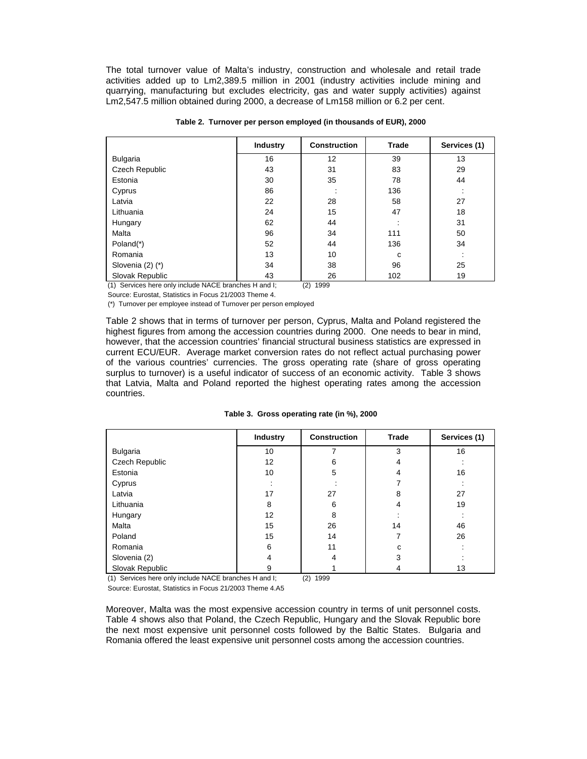The total turnover value of Malta's industry, construction and wholesale and retail trade activities added up to Lm2,389.5 million in 2001 (industry activities include mining and quarrying, manufacturing but excludes electricity, gas and water supply activities) against Lm2,547.5 million obtained during 2000, a decrease of Lm158 million or 6.2 per cent.

|                       | <b>Industry</b> | <b>Construction</b> | Trade | Services (1) |
|-----------------------|-----------------|---------------------|-------|--------------|
| <b>Bulgaria</b>       | 16              | 12                  | 39    | 13           |
| Czech Republic        | 43              | 31                  | 83    | 29           |
| Estonia               | 30              | 35                  | 78    | 44           |
| Cyprus                | 86              | $\cdot$             | 136   | $\cdot$      |
| Latvia                | 22              | 28                  | 58    | 27           |
| Lithuania             | 24              | 15                  | 47    | 18           |
| Hungary               | 62              | 44                  |       | 31           |
| Malta                 | 96              | 34                  | 111   | 50           |
| Poland <sup>(*)</sup> | 52              | 44                  | 136   | 34           |
| Romania               | 13              | 10                  | C     |              |
| Slovenia $(2)$ $(*)$  | 34              | 38                  | 96    | 25           |
| Slovak Republic       | 43              | 26                  | 102   | 19           |

**Table 2. Turnover per person employed (in thousands of EUR), 2000**

(1) Services here only include NACE branches H and I; (2) 1999

Source: Eurostat, Statistics in Focus 21/2003 Theme 4.

(\*) Turnover per employee instead of Turnover per person employed

Table 2 shows that in terms of turnover per person, Cyprus, Malta and Poland registered the highest figures from among the accession countries during 2000. One needs to bear in mind, however, that the accession countries' financial structural business statistics are expressed in current ECU/EUR. Average market conversion rates do not reflect actual purchasing power of the various countries' currencies. The gross operating rate (share of gross operating surplus to turnover) is a useful indicator of success of an economic activity. Table 3 shows that Latvia, Malta and Poland reported the highest operating rates among the accession countries.

|  | Table 3. Gross operating rate (in %), 2000 |  |  |
|--|--------------------------------------------|--|--|
|--|--------------------------------------------|--|--|

|                 | <b>Industry</b> | <b>Construction</b> | Trade | Services (1) |
|-----------------|-----------------|---------------------|-------|--------------|
| <b>Bulgaria</b> | 10              |                     | 3     | 16           |
| Czech Republic  | 12              | 6                   | 4     |              |
| Estonia         | 10              | 5                   | 4     | 16           |
| Cyprus          |                 |                     |       |              |
| Latvia          | 17              | 27                  | 8     | 27           |
| Lithuania       | 8               | 6                   | 4     | 19           |
| Hungary         | 12              | 8                   |       |              |
| Malta           | 15              | 26                  | 14    | 46           |
| Poland          | 15              | 14                  | 7     | 26           |
| Romania         | 6               | 11                  | C     |              |
| Slovenia (2)    | 4               | 4                   | 3     |              |
| Slovak Republic | 9               |                     | 4     | 13           |

(1) Services here only include NACE branches H and I; (2) 1999

Source: Eurostat, Statistics in Focus 21/2003 Theme 4.A5

Moreover, Malta was the most expensive accession country in terms of unit personnel costs. Table 4 shows also that Poland, the Czech Republic, Hungary and the Slovak Republic bore the next most expensive unit personnel costs followed by the Baltic States. Bulgaria and Romania offered the least expensive unit personnel costs among the accession countries.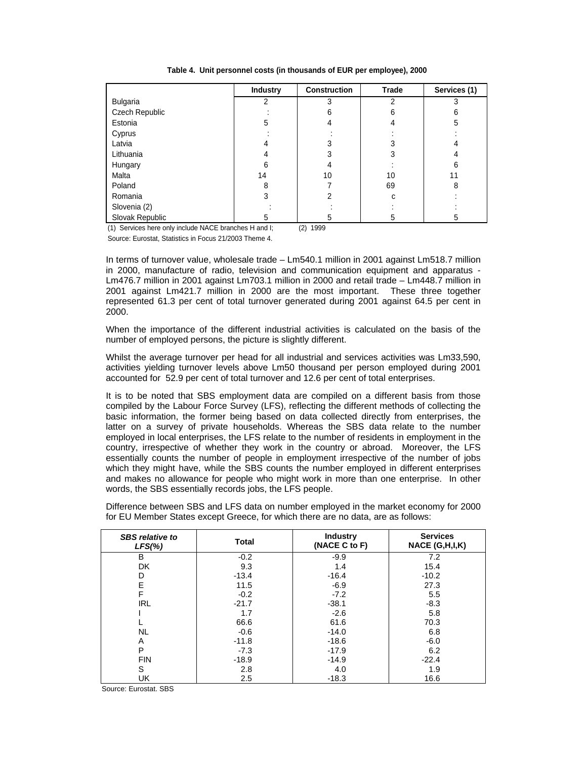**Table 4. Unit personnel costs (in thousands of EUR per employee), 2000**

|                 | <b>Industry</b> | <b>Construction</b> | Trade | Services (1) |
|-----------------|-----------------|---------------------|-------|--------------|
| Bulgaria        | 2               |                     | 2     | 3            |
| Czech Republic  |                 | 6                   | 6     | 6            |
| Estonia         | 5               |                     | 4     | 5            |
| Cyprus          |                 |                     |       |              |
| Latvia          | 4               |                     | 3     |              |
| Lithuania       | 4               | 3                   | 3     |              |
| Hungary         | 6               |                     |       | 6            |
| Malta           | 14              | 10                  | 10    | 11           |
| Poland          | 8               |                     | 69    | 8            |
| Romania         | 3               | 2                   | c     |              |
| Slovenia (2)    |                 |                     |       |              |
| Slovak Republic | 5               |                     | 5     | 5            |

(1) Services here only include NACE branches H and I; (2) 1999

Source: Eurostat, Statistics in Focus 21/2003 Theme 4.

In terms of turnover value, wholesale trade – Lm540.1 million in 2001 against Lm518.7 million in 2000, manufacture of radio, television and communication equipment and apparatus - Lm476.7 million in 2001 against Lm703.1 million in 2000 and retail trade – Lm448.7 million in 2001 against Lm421.7 million in 2000 are the most important. These three together represented 61.3 per cent of total turnover generated during 2001 against 64.5 per cent in 2000.

When the importance of the different industrial activities is calculated on the basis of the number of employed persons, the picture is slightly different.

Whilst the average turnover per head for all industrial and services activities was Lm33,590, activities yielding turnover levels above Lm50 thousand per person employed during 2001 accounted for 52.9 per cent of total turnover and 12.6 per cent of total enterprises.

It is to be noted that SBS employment data are compiled on a different basis from those compiled by the Labour Force Survey (LFS), reflecting the different methods of collecting the basic information, the former being based on data collected directly from enterprises, the latter on a survey of private households. Whereas the SBS data relate to the number employed in local enterprises, the LFS relate to the number of residents in employment in the country, irrespective of whether they work in the country or abroad. Moreover, the LFS essentially counts the number of people in employment irrespective of the number of jobs which they might have, while the SBS counts the number employed in different enterprises and makes no allowance for people who might work in more than one enterprise. In other words, the SBS essentially records jobs, the LFS people.

| <b>SBS</b> relative to<br>$LFS(\%)$ | <b>Total</b> | <b>Industry</b><br>(NACE C to F) | <b>Services</b><br>NACE (G,H,I,K) |
|-------------------------------------|--------------|----------------------------------|-----------------------------------|
| B                                   | $-0.2$       | $-9.9$                           | 7.2                               |
| <b>DK</b>                           | 9.3          | 1.4                              | 15.4                              |
| D                                   | $-13.4$      | $-16.4$                          | $-10.2$                           |
| E                                   | 11.5         | $-6.9$                           | 27.3                              |
| F                                   | $-0.2$       | $-7.2$                           | 5.5                               |
| <b>IRL</b>                          | $-21.7$      | $-38.1$                          | $-8.3$                            |
|                                     | 1.7          | $-2.6$                           | 5.8                               |
|                                     | 66.6         | 61.6                             | 70.3                              |
| <b>NL</b>                           | $-0.6$       | $-14.0$                          | 6.8                               |
| A                                   | $-11.8$      | $-18.6$                          | $-6.0$                            |
| P                                   | $-7.3$       | $-17.9$                          | 6.2                               |
| <b>FIN</b>                          | $-18.9$      | $-14.9$                          | $-22.4$                           |
| S                                   | 2.8          | 4.0                              | 1.9                               |
| UK                                  | 2.5          | $-18.3$                          | 16.6                              |

Difference between SBS and LFS data on number employed in the market economy for 2000 for EU Member States except Greece, for which there are no data, are as follows:

Source: Eurostat. SBS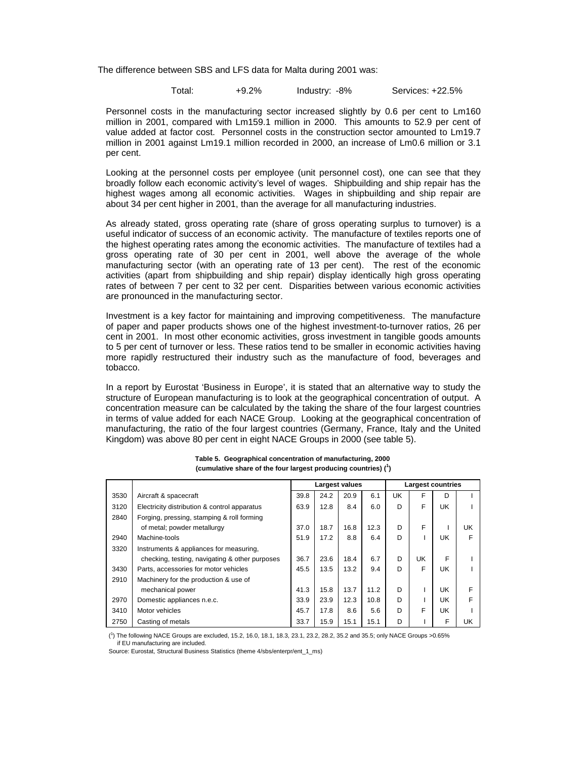The difference between SBS and LFS data for Malta during 2001 was:

Total: +9.2% Industry: -8% Services: +22.5%

Personnel costs in the manufacturing sector increased slightly by 0.6 per cent to Lm160 million in 2001, compared with Lm159.1 million in 2000. This amounts to 52.9 per cent of value added at factor cost. Personnel costs in the construction sector amounted to Lm19.7 million in 2001 against Lm19.1 million recorded in 2000, an increase of Lm0.6 million or 3.1 per cent.

Looking at the personnel costs per employee (unit personnel cost), one can see that they broadly follow each economic activity's level of wages. Shipbuilding and ship repair has the highest wages among all economic activities. Wages in shipbuilding and ship repair are about 34 per cent higher in 2001, than the average for all manufacturing industries.

As already stated, gross operating rate (share of gross operating surplus to turnover) is a useful indicator of success of an economic activity. The manufacture of textiles reports one of the highest operating rates among the economic activities. The manufacture of textiles had a gross operating rate of 30 per cent in 2001, well above the average of the whole manufacturing sector (with an operating rate of 13 per cent). The rest of the economic activities (apart from shipbuilding and ship repair) display identically high gross operating rates of between 7 per cent to 32 per cent. Disparities between various economic activities are pronounced in the manufacturing sector.

Investment is a key factor for maintaining and improving competitiveness. The manufacture of paper and paper products shows one of the highest investment-to-turnover ratios, 26 per cent in 2001. In most other economic activities, gross investment in tangible goods amounts to 5 per cent of turnover or less. These ratios tend to be smaller in economic activities having more rapidly restructured their industry such as the manufacture of food, beverages and tobacco.

In a report by Eurostat 'Business in Europe', it is stated that an alternative way to study the structure of European manufacturing is to look at the geographical concentration of output. A concentration measure can be calculated by the taking the share of the four largest countries in terms of value added for each NACE Group. Looking at the geographical concentration of manufacturing, the ratio of the four largest countries (Germany, France, Italy and the United Kingdom) was above 80 per cent in eight NACE Groups in 2000 (see table 5).

|      |                                                | Largest values |      |      | <b>Largest countries</b> |    |    |     |    |
|------|------------------------------------------------|----------------|------|------|--------------------------|----|----|-----|----|
| 3530 | Aircraft & spacecraft                          | 39.8           | 24.2 | 20.9 | 6.1                      | UK | F  | D   |    |
| 3120 | Electricity distribution & control apparatus   | 63.9           | 12.8 | 8.4  | 6.0                      | D  | F  | UK. |    |
| 2840 | Forging, pressing, stamping & roll forming     |                |      |      |                          |    |    |     |    |
|      | of metal; powder metallurgy                    | 37.0           | 18.7 | 16.8 | 12.3                     | D  | F  |     | UK |
| 2940 | Machine-tools                                  | 51.9           | 17.2 | 8.8  | 6.4                      | D  |    | UK  | F  |
| 3320 | Instruments & appliances for measuring,        |                |      |      |                          |    |    |     |    |
|      | checking, testing, navigating & other purposes | 36.7           | 23.6 | 18.4 | 6.7                      | D  | UK | F   |    |
| 3430 | Parts, accessories for motor vehicles          | 45.5           | 13.5 | 13.2 | 9.4                      | D  | F  | UK  |    |
| 2910 | Machinery for the production & use of          |                |      |      |                          |    |    |     |    |
|      | mechanical power                               | 41.3           | 15.8 | 13.7 | 11.2                     | D  |    | UK  | F  |
| 2970 | Domestic appliances n.e.c.                     | 33.9           | 23.9 | 12.3 | 10.8                     | D  |    | UK  | F  |
| 3410 | Motor vehicles                                 | 45.7           | 17.8 | 8.6  | 5.6                      | D  | F  | UK  |    |
| 2750 | Casting of metals                              | 33.7           | 15.9 | 15.1 | 15.1                     | D  |    | F   | UK |

**Table 5. Geographical concentration of manufacturing, 2000 (cumulative share of the four largest producing countries) (<sup>1</sup> )**

( 1 ) The following NACE Groups are excluded, 15.2, 16.0, 18.1, 18.3, 23.1, 23.2, 28.2, 35.2 and 35.5; only NACE Groups >0.65% if EU manufacturing are included.

Source: Eurostat, Structural Business Statistics (theme 4/sbs/enterpr/ent\_1\_ms)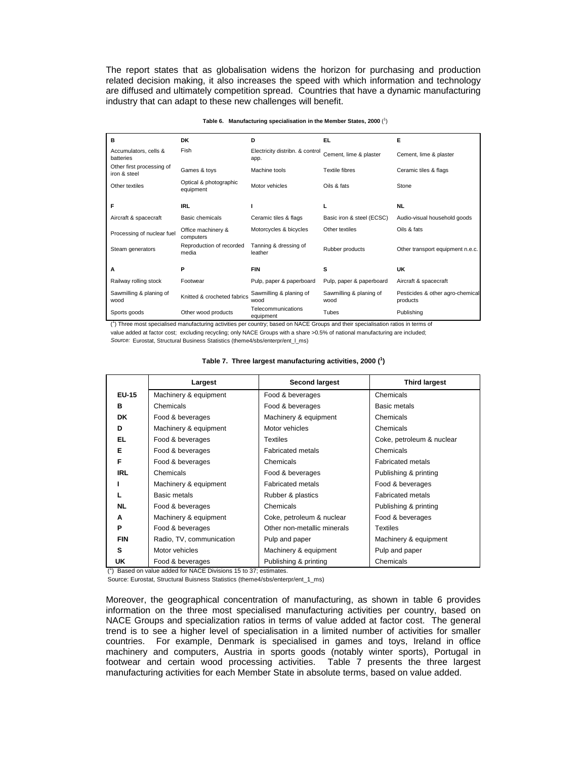The report states that as globalisation widens the horizon for purchasing and production related decision making, it also increases the speed with which information and technology are diffused and ultimately competition spread. Countries that have a dynamic manufacturing industry that can adapt to these new challenges will benefit.

|                                           |                                     | Table 6. Manufacturing specialisation in the Member States, 2000 $(1)$ |                                 |                                              |
|-------------------------------------------|-------------------------------------|------------------------------------------------------------------------|---------------------------------|----------------------------------------------|
| в                                         | <b>DK</b>                           | D                                                                      | EL.                             | Е                                            |
| Accumulators, cells &<br>batteries        | Fish                                | Electricity distribn. & control<br>app.                                | Cement, lime & plaster          | Cement, lime & plaster                       |
| Other first processing of<br>iron & steel | Games & toys                        | Machine tools                                                          | Textile fibres                  | Ceramic tiles & flags                        |
| Other textiles                            | Optical & photographic<br>equipment | Motor vehicles                                                         | Oils & fats                     | Stone                                        |
| F                                         | <b>IRL</b>                          |                                                                        |                                 | <b>NL</b>                                    |
| Aircraft & spacecraft                     | Basic chemicals                     | Ceramic tiles & flags                                                  | Basic iron & steel (ECSC)       | Audio-visual household goods                 |
| Processing of nuclear fuel                | Office machinery &<br>computers     | Motorcycles & bicycles                                                 | Other textiles                  | Oils & fats                                  |
| Steam generators                          | Reproduction of recorded<br>media   | Tanning & dressing of<br>leather                                       | Rubber products                 | Other transport equipment n.e.c.             |
| A                                         | P                                   | <b>FIN</b>                                                             | s                               | UK                                           |
| Railway rolling stock                     | Footwear                            | Pulp, paper & paperboard                                               | Pulp, paper & paperboard        | Aircraft & spacecraft                        |
| Sawmilling & planing of<br>wood           | Knitted & crocheted fabrics         | Sawmilling & planing of<br>wood                                        | Sawmilling & planing of<br>wood | Pesticides & other agro-chemical<br>products |

<sup>1</sup>) Three most specialised manufacturing activities per country; based on NACE Groups and their specialisation ratios in terms of value added at factor cost; excluding recycling; only NACE Groups with a share >0.5% of national manufacturing are included; *Source:* Eurostat, Structural Business Statistics (theme4/sbs/enterpr/ent\_l\_ms)

|              | Largest                  | <b>Second largest</b>       | <b>Third largest</b>      |
|--------------|--------------------------|-----------------------------|---------------------------|
| <b>EU-15</b> | Machinery & equipment    | Food & beverages            | Chemicals                 |
| в            | Chemicals                | Food & beverages            | Basic metals              |
| DK.          | Food & beverages         | Machinery & equipment       | Chemicals                 |
| D            | Machinery & equipment    | Motor vehicles              | Chemicals                 |
| EL           | Food & beverages         | Textiles                    | Coke, petroleum & nuclear |
| Е            | Food & beverages         | <b>Fabricated metals</b>    | Chemicals                 |
| F            | Food & beverages         | Chemicals                   | <b>Fabricated metals</b>  |
| <b>IRL</b>   | Chemicals                | Food & beverages            | Publishing & printing     |
|              | Machinery & equipment    | <b>Fabricated metals</b>    | Food & beverages          |
|              | <b>Basic metals</b>      | Rubber & plastics           | <b>Fabricated metals</b>  |
| <b>NL</b>    | Food & beverages         | Chemicals                   | Publishing & printing     |
| A            | Machinery & equipment    | Coke, petroleum & nuclear   | Food & beverages          |
| P            | Food & beverages         | Other non-metallic minerals | <b>Textiles</b>           |
| <b>FIN</b>   | Radio, TV, communication | Pulp and paper              | Machinery & equipment     |
| s            | Motor vehicles           | Machinery & equipment       | Pulp and paper            |
| UK           | Food & beverages         | Publishing & printing       | Chemicals                 |

## **Table 7. Three largest manufacturing activities, 2000 (1 )**

Tubes Publishing<br>equipment Tubes Publishing

products

( 1 ) Based on value added for NACE Divisions 15 to 37; estimates.

Sports goods **Other wood products** Telecommunications

Source: Eurostat, Structural Buisness Statistics (theme4/sbs/enterpr/ent\_1\_ms)

Moreover, the geographical concentration of manufacturing, as shown in table 6 provides information on the three most specialised manufacturing activities per country, based on NACE Groups and specialization ratios in terms of value added at factor cost. The general trend is to see a higher level of specialisation in a limited number of activities for smaller countries. For example, Denmark is specialised in games and toys, Ireland in office machinery and computers, Austria in sports goods (notably winter sports), Portugal in footwear and certain wood processing activities. Table 7 presents the three largest manufacturing activities for each Member State in absolute terms, based on value added.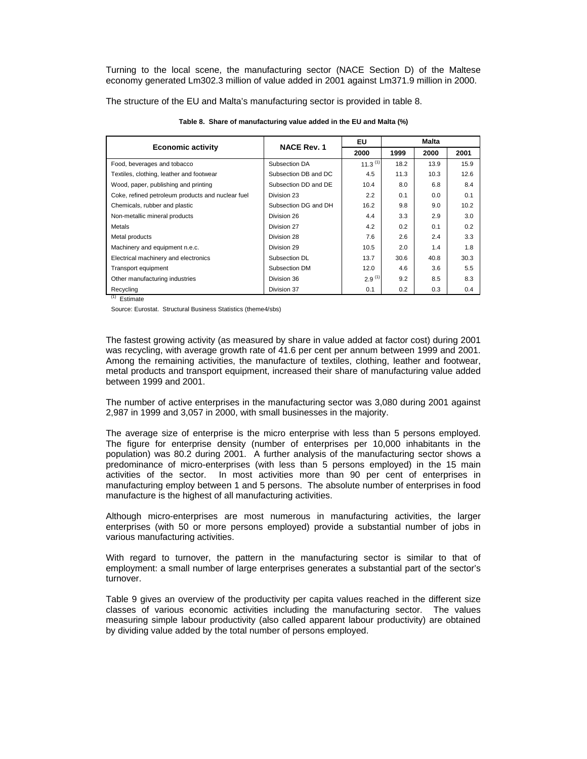Turning to the local scene, the manufacturing sector (NACE Section D) of the Maltese economy generated Lm302.3 million of value added in 2001 against Lm371.9 million in 2000.

The structure of the EU and Malta's manufacturing sector is provided in table 8.

|                                                   | <b>NACE Rev. 1</b>   | EU           | Malta |      |      |  |
|---------------------------------------------------|----------------------|--------------|-------|------|------|--|
| <b>Economic activity</b>                          |                      | 2000         | 1999  | 2000 | 2001 |  |
| Food, beverages and tobacco                       | Subsection DA        | $11.3^{(1)}$ | 18.2  | 13.9 | 15.9 |  |
| Textiles, clothing, leather and footwear          | Subsection DB and DC | 4.5          | 11.3  | 10.3 | 12.6 |  |
| Wood, paper, publishing and printing              | Subsection DD and DE | 10.4         | 8.0   | 6.8  | 8.4  |  |
| Coke, refined petroleum products and nuclear fuel | Division 23          | 2.2          | 0.1   | 0.0  | 0.1  |  |
| Chemicals, rubber and plastic                     | Subsection DG and DH | 16.2         | 9.8   | 9.0  | 10.2 |  |
| Non-metallic mineral products                     | Division 26          | 4.4          | 3.3   | 2.9  | 3.0  |  |
| Metals                                            | Division 27          | 4.2          | 0.2   | 0.1  | 0.2  |  |
| Metal products                                    | Division 28          | 7.6          | 2.6   | 2.4  | 3.3  |  |
| Machinery and equipment n.e.c.                    | Division 29          | 10.5         | 2.0   | 1.4  | 1.8  |  |
| Electrical machinery and electronics              | Subsection DL        | 13.7         | 30.6  | 40.8 | 30.3 |  |
| Transport equipment                               | Subsection DM        | 12.0         | 4.6   | 3.6  | 5.5  |  |
| Other manufacturing industries                    | Division 36          | $2.9^{(1)}$  | 9.2   | 8.5  | 8.3  |  |
| Recycling                                         | Division 37          | 0.1          | 0.2   | 0.3  | 0.4  |  |

**Table 8. Share of manufacturing value added in the EU and Malta (%)**

 $(1)$  Estimate

Source: Eurostat. Structural Business Statistics (theme4/sbs)

The fastest growing activity (as measured by share in value added at factor cost) during 2001 was recycling, with average growth rate of 41.6 per cent per annum between 1999 and 2001. Among the remaining activities, the manufacture of textiles, clothing, leather and footwear, metal products and transport equipment, increased their share of manufacturing value added between 1999 and 2001.

The number of active enterprises in the manufacturing sector was 3,080 during 2001 against 2,987 in 1999 and 3,057 in 2000, with small businesses in the majority.

The average size of enterprise is the micro enterprise with less than 5 persons employed. The figure for enterprise density (number of enterprises per 10,000 inhabitants in the population) was 80.2 during 2001. A further analysis of the manufacturing sector shows a predominance of micro-enterprises (with less than 5 persons employed) in the 15 main activities of the sector. In most activities more than 90 per cent of enterprises in manufacturing employ between 1 and 5 persons. The absolute number of enterprises in food manufacture is the highest of all manufacturing activities.

Although micro-enterprises are most numerous in manufacturing activities, the larger enterprises (with 50 or more persons employed) provide a substantial number of jobs in various manufacturing activities.

With regard to turnover, the pattern in the manufacturing sector is similar to that of employment: a small number of large enterprises generates a substantial part of the sector's turnover.

Table 9 gives an overview of the productivity per capita values reached in the different size classes of various economic activities including the manufacturing sector. The values measuring simple labour productivity (also called apparent labour productivity) are obtained by dividing value added by the total number of persons employed.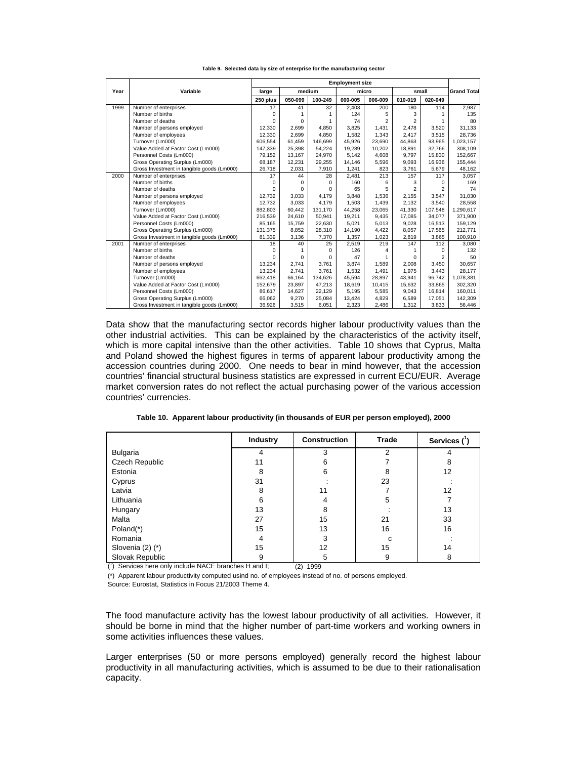|      |                                            | <b>Employment size</b> |          |              |         |                |                |                |                    |
|------|--------------------------------------------|------------------------|----------|--------------|---------|----------------|----------------|----------------|--------------------|
| Year | Variable                                   | large                  |          | medium       |         | small<br>micro |                |                | <b>Grand Total</b> |
|      |                                            | 250 plus               | 050-099  | 100-249      | 000-005 | 006-009        | 010-019        | 020-049        |                    |
| 1999 | Number of enterprises                      | 17                     | 41       | 32           | 2.403   | 200            | 180            | 114            | 2.987              |
|      | Number of births                           | $\Omega$               | 1        | $\mathbf{1}$ | 124     | 5              | 3              |                | 135                |
|      | Number of deaths                           | $\Omega$               | $\Omega$ | $\mathbf{1}$ | 74      | $\overline{2}$ | $\overline{a}$ |                | 80                 |
|      | Number of persons employed                 | 12,330                 | 2.699    | 4.850        | 3.825   | 1,431          | 2,478          | 3.520          | 31,133             |
|      | Number of employees                        | 12,330                 | 2,699    | 4,850        | 1,582   | 1,343          | 2,417          | 3,515          | 28,736             |
|      | Turnover (Lm000)                           | 606.554                | 61.459   | 146.699      | 45.926  | 23.690         | 44.863         | 93.965         | 1,023,157          |
|      | Value Added at Factor Cost (Lm000)         | 147,339                | 25,398   | 54.224       | 19,289  | 10,202         | 18,891         | 32.766         | 308,109            |
|      | Personnel Costs (Lm000)                    | 79.152                 | 13.167   | 24,970       | 5.142   | 4.608          | 9.797          | 15.830         | 152,667            |
|      | Gross Operating Surplus (Lm000)            | 68.187                 | 12.231   | 29,255       | 14.146  | 5,596          | 9,093          | 16,936         | 155,444            |
|      | Gross Investment in tangible goods (Lm000) | 26,718                 | 2,031    | 7,910        | 1,241   | 823            | 3,761          | 5,679          | 48,162             |
| 2000 | Number of enterprises                      | 17                     | 44       | 28           | 2,481   | 213            | 157            | 117            | 3,057              |
|      | Number of births                           | $\Omega$               | 0        | $\Omega$     | 160     | 6              | 3              | $\Omega$       | 169                |
|      | Number of deaths                           | $\Omega$               | $\Omega$ | $\Omega$     | 65      | 5              | $\overline{2}$ | $\overline{2}$ | 74                 |
|      | Number of persons employed                 | 12.732                 | 3.033    | 4.179        | 3.848   | 1.536          | 2.155          | 3.547          | 31,030             |
|      | Number of employees                        | 12.732                 | 3.033    | 4.179        | 1,503   | 1,439          | 2.132          | 3,540          | 28,558             |
|      | Turnover (Lm000)                           | 882,803                | 60.442   | 131.170      | 44,258  | 23,065         | 41.330         | 107.548        | 1,290,617          |
|      | Value Added at Factor Cost (Lm000)         | 216.539                | 24.610   | 50.941       | 19,211  | 9.435          | 17.085         | 34.077         | 371,900            |
|      | Personnel Costs (Lm000)                    | 85.165                 | 15,759   | 22,630       | 5,021   | 5,013          | 9,028          | 16,513         | 159,129            |
|      | Gross Operating Surplus (Lm000)            | 131,375                | 8,852    | 28,310       | 14,190  | 4,422          | 8,057          | 17,565         | 212,771            |
|      | Gross Investment in tangible goods (Lm000) | 81,339                 | 3,136    | 7,370        | 1,357   | 1,023          | 2,819          | 3,865          | 100,910            |
| 2001 | Number of enterprises                      | 18                     | 40       | 25           | 2,519   | 219            | 147            | 112            | 3,080              |
|      | Number of births                           | <sup>0</sup>           |          | $\Omega$     | 126     |                |                | $\Omega$       | 132                |
|      | Number of deaths                           | U                      | 0        | $\Omega$     | 47      |                | 0              | $\overline{2}$ | 50                 |
|      | Number of persons employed                 | 13,234                 | 2.741    | 3,761        | 3.874   | 1,589          | 2,008          | 3,450          | 30,657             |
|      | Number of employees                        | 13,234                 | 2.741    | 3,761        | 1,532   | 1,491          | 1,975          | 3,443          | 28,177             |
|      | Turnover (Lm000)                           | 662.418                | 66.164   | 134.626      | 45,594  | 28.897         | 43.941         | 96.742         | 1,078,381          |
|      | Value Added at Factor Cost (Lm000)         | 152,679                | 23,897   | 47,213       | 18,619  | 10,415         | 15,632         | 33,865         | 302,320            |
|      | Personnel Costs (Lm000)                    | 86.617                 | 14,627   | 22,129       | 5,195   | 5,585          | 9,043          | 16,814         | 160,011            |
|      | Gross Operating Surplus (Lm000)            | 66,062                 | 9,270    | 25,084       | 13,424  | 4,829          | 6,589          | 17,051         | 142,309            |
|      | Gross Investment in tangible goods (Lm000) | 36,926                 | 3,515    | 6,051        | 2.323   | 2,486          | 1,312          | 3,833          | 56,446             |

**Table 9. Selected data by size of enterprise for the manufacturing sector**

Data show that the manufacturing sector records higher labour productivity values than the other industrial activities. This can be explained by the characteristics of the activity itself, which is more capital intensive than the other activities. Table 10 shows that Cyprus, Malta and Poland showed the highest figures in terms of apparent labour productivity among the accession countries during 2000. One needs to bear in mind however, that the accession countries' financial structural business statistics are expressed in current ECU/EUR. Average market conversion rates do not reflect the actual purchasing power of the various accession countries' currencies.

**Table 10. Apparent labour productivity (in thousands of EUR per person employed), 2000**

|                      | <b>Industry</b> | <b>Construction</b> | <b>Trade</b> | Services $(^1)$ |
|----------------------|-----------------|---------------------|--------------|-----------------|
| <b>Bulgaria</b>      |                 | 3                   | 2            |                 |
| Czech Republic       | 11              | 6                   |              | 8               |
| Estonia              | 8               | 6                   | 8            | 12              |
| Cyprus               | 31              |                     | 23           |                 |
| Latvia               | 8               | 11                  |              | 12              |
| Lithuania            | 6               | 4                   | 5            |                 |
| Hungary              | 13              | 8                   |              | 13              |
| Malta                | 27              | 15                  | 21           | 33              |
| Poland(*)            | 15              | 13                  | 16           | 16              |
| Romania              | 4               | 3                   | c            |                 |
| Slovenia $(2)$ $(*)$ | 15              | 12 <sup>2</sup>     | 15           | 14              |
| Slovak Republic      | 9               | 5                   | 9            | 8               |

( 1 ) Services here only include NACE branches H and I; (2) 1999

(\*) Apparent labour productivity computed usind no. of employees instead of no. of persons employed.

Source: Eurostat, Statistics in Focus 21/2003 Theme 4.

The food manufacture activity has the lowest labour productivity of all activities. However, it should be borne in mind that the higher number of part-time workers and working owners in some activities influences these values.

Larger enterprises (50 or more persons employed) generally record the highest labour productivity in all manufacturing activities, which is assumed to be due to their rationalisation capacity.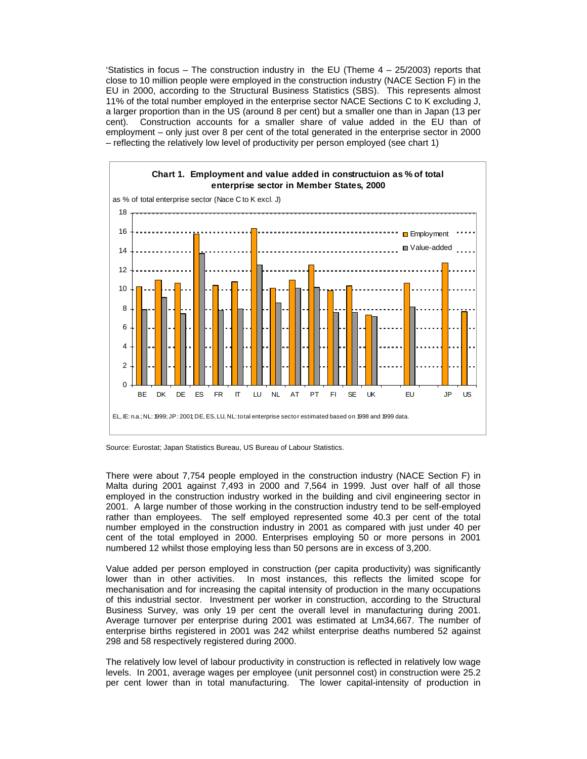'Statistics in focus – The construction industry in the EU (Theme  $4 - 25/2003$ ) reports that close to 10 million people were employed in the construction industry (NACE Section F) in the EU in 2000, according to the Structural Business Statistics (SBS). This represents almost 11% of the total number employed in the enterprise sector NACE Sections C to K excluding J, a larger proportion than in the US (around 8 per cent) but a smaller one than in Japan (13 per cent). Construction accounts for a smaller share of value added in the EU than of employment – only just over 8 per cent of the total generated in the enterprise sector in 2000 – reflecting the relatively low level of productivity per person employed (see chart 1)



Source: Eurostat; Japan Statistics Bureau, US Bureau of Labour Statistics.

There were about 7,754 people employed in the construction industry (NACE Section F) in Malta during 2001 against 7,493 in 2000 and 7,564 in 1999. Just over half of all those employed in the construction industry worked in the building and civil engineering sector in 2001. A large number of those working in the construction industry tend to be self-employed rather than employees. The self employed represented some 40.3 per cent of the total number employed in the construction industry in 2001 as compared with just under 40 per cent of the total employed in 2000. Enterprises employing 50 or more persons in 2001 numbered 12 whilst those employing less than 50 persons are in excess of 3,200.

Value added per person employed in construction (per capita productivity) was significantly lower than in other activities. In most instances, this reflects the limited scope for mechanisation and for increasing the capital intensity of production in the many occupations of this industrial sector. Investment per worker in construction, according to the Structural Business Survey, was only 19 per cent the overall level in manufacturing during 2001. Average turnover per enterprise during 2001 was estimated at Lm34,667. The number of enterprise births registered in 2001 was 242 whilst enterprise deaths numbered 52 against 298 and 58 respectively registered during 2000.

The relatively low level of labour productivity in construction is reflected in relatively low wage levels. In 2001, average wages per employee (unit personnel cost) in construction were 25.2 per cent lower than in total manufacturing. The lower capital-intensity of production in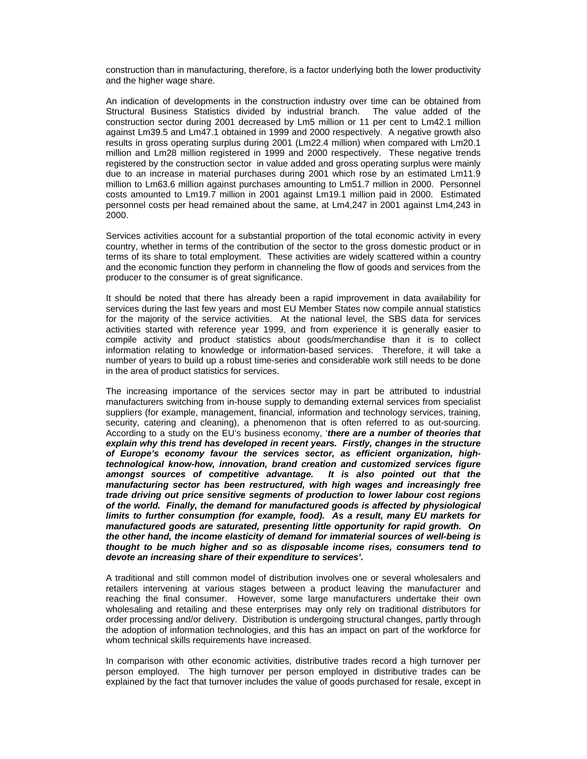construction than in manufacturing, therefore, is a factor underlying both the lower productivity and the higher wage share.

An indication of developments in the construction industry over time can be obtained from Structural Business Statistics divided by industrial branch. The value added of the construction sector during 2001 decreased by Lm5 million or 11 per cent to Lm42.1 million against Lm39.5 and Lm47.1 obtained in 1999 and 2000 respectively. A negative growth also results in gross operating surplus during 2001 (Lm22.4 million) when compared with Lm20.1 million and Lm28 million registered in 1999 and 2000 respectively. These negative trends registered by the construction sector in value added and gross operating surplus were mainly due to an increase in material purchases during 2001 which rose by an estimated Lm11.9 million to Lm63.6 million against purchases amounting to Lm51.7 million in 2000. Personnel costs amounted to Lm19.7 million in 2001 against Lm19.1 million paid in 2000. Estimated personnel costs per head remained about the same, at Lm4,247 in 2001 against Lm4,243 in 2000.

Services activities account for a substantial proportion of the total economic activity in every country, whether in terms of the contribution of the sector to the gross domestic product or in terms of its share to total employment. These activities are widely scattered within a country and the economic function they perform in channeling the flow of goods and services from the producer to the consumer is of great significance.

It should be noted that there has already been a rapid improvement in data availability for services during the last few years and most EU Member States now compile annual statistics for the majority of the service activities. At the national level, the SBS data for services activities started with reference year 1999, and from experience it is generally easier to compile activity and product statistics about goods/merchandise than it is to collect information relating to knowledge or information-based services. Therefore, it will take a number of years to build up a robust time-series and considerable work still needs to be done in the area of product statistics for services.

The increasing importance of the services sector may in part be attributed to industrial manufacturers switching from in-house supply to demanding external services from specialist suppliers (for example, management, financial, information and technology services, training, security, catering and cleaning), a phenomenon that is often referred to as out-sourcing. According to a study on the EU's business economy, '*there are a number of theories that explain why this trend has developed in recent years. Firstly, changes in the structure of Europe's economy favour the services sector, as efficient organization, hightechnological know-how, innovation, brand creation and customized services figure amongst sources of competitive advantage. It is also pointed out that the manufacturing sector has been restructured, with high wages and increasingly free trade driving out price sensitive segments of production to lower labour cost regions of the world. Finally, the demand for manufactured goods is affected by physiological limits to further consumption (for example, food). As a result, many EU markets for manufactured goods are saturated, presenting little opportunity for rapid growth. On the other hand, the income elasticity of demand for immaterial sources of well-being is thought to be much higher and so as disposable income rises, consumers tend to devote an increasing share of their expenditure to services'.* 

A traditional and still common model of distribution involves one or several wholesalers and retailers intervening at various stages between a product leaving the manufacturer and reaching the final consumer. However, some large manufacturers undertake their own wholesaling and retailing and these enterprises may only rely on traditional distributors for order processing and/or delivery. Distribution is undergoing structural changes, partly through the adoption of information technologies, and this has an impact on part of the workforce for whom technical skills requirements have increased.

In comparison with other economic activities, distributive trades record a high turnover per person employed. The high turnover per person employed in distributive trades can be explained by the fact that turnover includes the value of goods purchased for resale, except in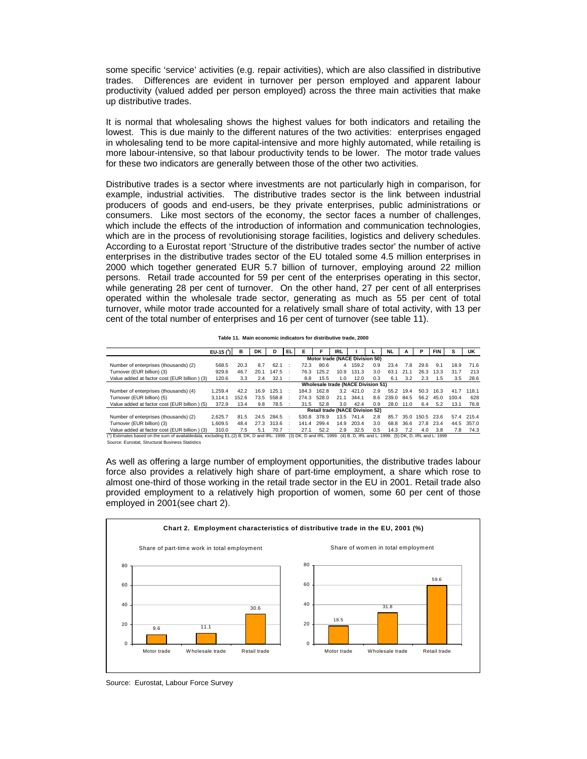some specific 'service' activities (e.g. repair activities), which are also classified in distributive trades. Differences are evident in turnover per person employed and apparent labour productivity (valued added per person employed) across the three main activities that make up distributive trades.

It is normal that wholesaling shows the highest values for both indicators and retailing the lowest. This is due mainly to the different natures of the two activities: enterprises engaged in wholesaling tend to be more capital-intensive and more highly automated, while retailing is more labour-intensive, so that labour productivity tends to be lower. The motor trade values for these two indicators are generally between those of the other two activities.

Distributive trades is a sector where investments are not particularly high in comparison, for example, industrial activities. The distributive trades sector is the link between industrial producers of goods and end-users, be they private enterprises, public administrations or consumers. Like most sectors of the economy, the sector faces a number of challenges, which include the effects of the introduction of information and communication technologies, which are in the process of revolutionising storage facilities, logistics and delivery schedules. According to a Eurostat report 'Structure of the distributive trades sector' the number of active enterprises in the distributive trades sector of the EU totaled some 4.5 million enterprises in 2000 which together generated EUR 5.7 billion of turnover, employing around 22 million persons. Retail trade accounted for 59 per cent of the enterprises operating in this sector, while generating 28 per cent of turnover. On the other hand, 27 per cent of all enterprises operated within the wholesale trade sector, generating as much as 55 per cent of total turnover, while motor trade accounted for a relatively small share of total activity, with 13 per cent of the total number of enterprises and 16 per cent of turnover (see table 11).

|                                                                                                                                                                             | $EU-15$ $(')$ | в                                         | DK   | D                                      | EL. | Е     | F     | <b>IRL</b> |         |     | <b>NL</b> | А    | Р          | <b>FIN</b> |       | UK    |
|-----------------------------------------------------------------------------------------------------------------------------------------------------------------------------|---------------|-------------------------------------------|------|----------------------------------------|-----|-------|-------|------------|---------|-----|-----------|------|------------|------------|-------|-------|
|                                                                                                                                                                             |               | Motor trade (NACE Division 50)            |      |                                        |     |       |       |            |         |     |           |      |            |            |       |       |
| Number of enterprises (thousands) (2)                                                                                                                                       | 568.5         | 20.3                                      | 8.7  | 62.1                                   |     | 72.3  | 80.6  |            | 4 159.2 | 0.9 | 23.4      | 7.8  | 29.6       | 9.1        | 18.9  | 71.6  |
| Turnover (EUR billion) (3)                                                                                                                                                  | 929.6         | 46.7                                      | 20.1 | 147.5                                  |     | 76.3  | 125.2 | 10.9       | 131.3   | 3.0 | 63.1      | 21.1 | 26.3       | 13.3       | 31.7  | 213   |
| Value added at factor cost (EUR billion) (3)                                                                                                                                | 120.6         | 3.3                                       | 2.4  | 32.1                                   |     | 8.8   | 15.5  | 1.0        | 12.0    | 0.3 | 6.1       | 3.2  | 2.3        | 1.5        | 3.5   | 28.6  |
|                                                                                                                                                                             |               | <b>Wholesale trade (NACE Division 51)</b> |      |                                        |     |       |       |            |         |     |           |      |            |            |       |       |
| Number of enterprises (thousands) (4)                                                                                                                                       | 1.259.4       | 42.2                                      | 16.9 | 125.1                                  |     | 184.3 | 162.8 | 3.2        | 421.0   | 2.9 | 55.2      | 19.4 | 50.3       | 16.3       | 41.7  | 118.1 |
| Turnover (EUR billion) (5)                                                                                                                                                  | 3.114.1       | 152.6                                     | 73.5 | 558.8                                  |     | 274.3 | 528.0 | 21.1       | 344.1   | 8.6 | 239.0     | 84.5 | 56.2       | 45.0       | 100.4 | 628   |
| Value added at factor cost (EUR billion) (5)                                                                                                                                | 372.9         | 13.4                                      | 9.8  | 78.5                                   |     | 31.5  | 52.8  | 3.0        | 42.4    | 0.9 | 28.0      | 11.0 | 6.4        | 5.2        | 13.1  | 76.8  |
|                                                                                                                                                                             |               |                                           |      | <b>Retail trade (NACE Division 52)</b> |     |       |       |            |         |     |           |      |            |            |       |       |
| Number of enterprises (thousands) (2)                                                                                                                                       | 2.625.7       | 81.5                                      | 24.5 | 284.5                                  |     | 530.8 | 378.9 | 13.5       | 741.4   | 2.8 | 85.7      |      | 35.0 150.5 | 23.6       | 57.4  | 215.4 |
| Turnover (EUR billion) (3)                                                                                                                                                  | 1.609.5       | 48.4                                      | 27.3 | 313.6                                  |     | 141.4 | 299.4 | 14.9       | 203.4   | 3.0 | 68.8      | 36.6 | 27.8       | 23.4       | 44.5  | 357.0 |
| Value added at factor cost (EUR billion) (3)                                                                                                                                | 310.0         | 7.5                                       | 5.1  | 70.7                                   |     | 27.1  | 52.2  | 2.9        | 32.5    | 0.5 | 14.3      | 7.2  | 4.0        | 3.8        | 7.8   | 74.3  |
| (1) Estimates based on the sum of availabledata, excluding EL.(2) B, DK, D and IRL: 1999.<br>(3) DK, D and IRL; 1999, (4) B, D, IRL and L; 1999, (5) DK, D, IRL and L; 1999 |               |                                           |      |                                        |     |       |       |            |         |     |           |      |            |            |       |       |
| Source: Eurostat, Structural Business Statistics                                                                                                                            |               |                                           |      |                                        |     |       |       |            |         |     |           |      |            |            |       |       |

**Table 11. Main economic indicators for distributive trade, 2000**

As well as offering a large number of employment opportunities, the distributive trades labour force also provides a relatively high share of part-time employment, a share which rose to almost one-third of those working in the retail trade sector in the EU in 2001. Retail trade also provided employment to a relatively high proportion of women, some 60 per cent of those employed in 2001(see chart 2).



Source: Eurostat, Labour Force Survey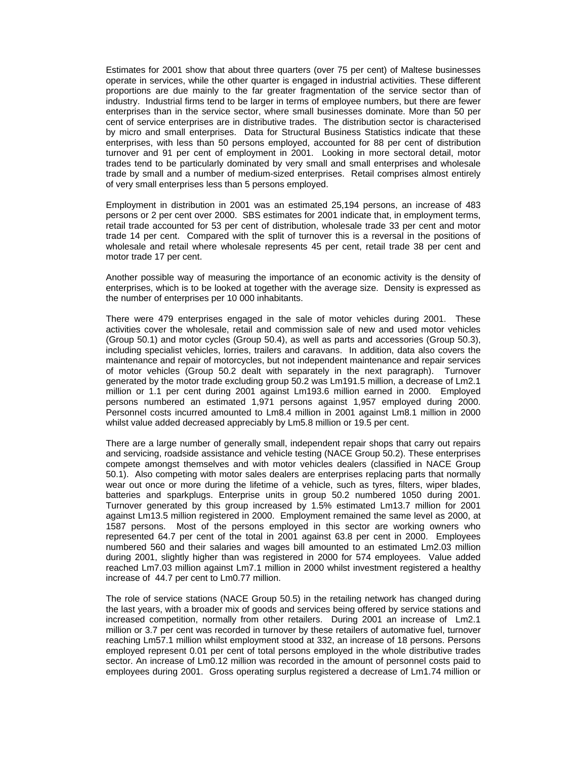Estimates for 2001 show that about three quarters (over 75 per cent) of Maltese businesses operate in services, while the other quarter is engaged in industrial activities. These different proportions are due mainly to the far greater fragmentation of the service sector than of industry. Industrial firms tend to be larger in terms of employee numbers, but there are fewer enterprises than in the service sector, where small businesses dominate. More than 50 per cent of service enterprises are in distributive trades. The distribution sector is characterised by micro and small enterprises. Data for Structural Business Statistics indicate that these enterprises, with less than 50 persons employed, accounted for 88 per cent of distribution turnover and 91 per cent of employment in 2001. Looking in more sectoral detail, motor trades tend to be particularly dominated by very small and small enterprises and wholesale trade by small and a number of medium-sized enterprises. Retail comprises almost entirely of very small enterprises less than 5 persons employed.

Employment in distribution in 2001 was an estimated 25,194 persons, an increase of 483 persons or 2 per cent over 2000. SBS estimates for 2001 indicate that, in employment terms, retail trade accounted for 53 per cent of distribution, wholesale trade 33 per cent and motor trade 14 per cent. Compared with the split of turnover this is a reversal in the positions of wholesale and retail where wholesale represents 45 per cent, retail trade 38 per cent and motor trade 17 per cent.

Another possible way of measuring the importance of an economic activity is the density of enterprises, which is to be looked at together with the average size. Density is expressed as the number of enterprises per 10 000 inhabitants.

There were 479 enterprises engaged in the sale of motor vehicles during 2001. These activities cover the wholesale, retail and commission sale of new and used motor vehicles (Group 50.1) and motor cycles (Group 50.4), as well as parts and accessories (Group 50.3), including specialist vehicles, lorries, trailers and caravans. In addition, data also covers the maintenance and repair of motorcycles, but not independent maintenance and repair services of motor vehicles (Group 50.2 dealt with separately in the next paragraph). Turnover generated by the motor trade excluding group 50.2 was Lm191.5 million, a decrease of Lm2.1 million or 1.1 per cent during 2001 against Lm193.6 million earned in 2000. Employed persons numbered an estimated 1,971 persons against 1,957 employed during 2000. Personnel costs incurred amounted to Lm8.4 million in 2001 against Lm8.1 million in 2000 whilst value added decreased appreciably by Lm5.8 million or 19.5 per cent.

There are a large number of generally small, independent repair shops that carry out repairs and servicing, roadside assistance and vehicle testing (NACE Group 50.2). These enterprises compete amongst themselves and with motor vehicles dealers (classified in NACE Group 50.1). Also competing with motor sales dealers are enterprises replacing parts that normally wear out once or more during the lifetime of a vehicle, such as tyres, filters, wiper blades, batteries and sparkplugs. Enterprise units in group 50.2 numbered 1050 during 2001. Turnover generated by this group increased by 1.5% estimated Lm13.7 million for 2001 against Lm13.5 million registered in 2000. Employment remained the same level as 2000, at 1587 persons. Most of the persons employed in this sector are working owners who represented 64.7 per cent of the total in 2001 against 63.8 per cent in 2000. Employees numbered 560 and their salaries and wages bill amounted to an estimated Lm2.03 million during 2001, slightly higher than was registered in 2000 for 574 employees. Value added reached Lm7.03 million against Lm7.1 million in 2000 whilst investment registered a healthy increase of 44.7 per cent to Lm0.77 million.

The role of service stations (NACE Group 50.5) in the retailing network has changed during the last years, with a broader mix of goods and services being offered by service stations and increased competition, normally from other retailers. During 2001 an increase of Lm2.1 million or 3.7 per cent was recorded in turnover by these retailers of automative fuel, turnover reaching Lm57.1 million whilst employment stood at 332, an increase of 18 persons. Persons employed represent 0.01 per cent of total persons employed in the whole distributive trades sector. An increase of Lm0.12 million was recorded in the amount of personnel costs paid to employees during 2001. Gross operating surplus registered a decrease of Lm1.74 million or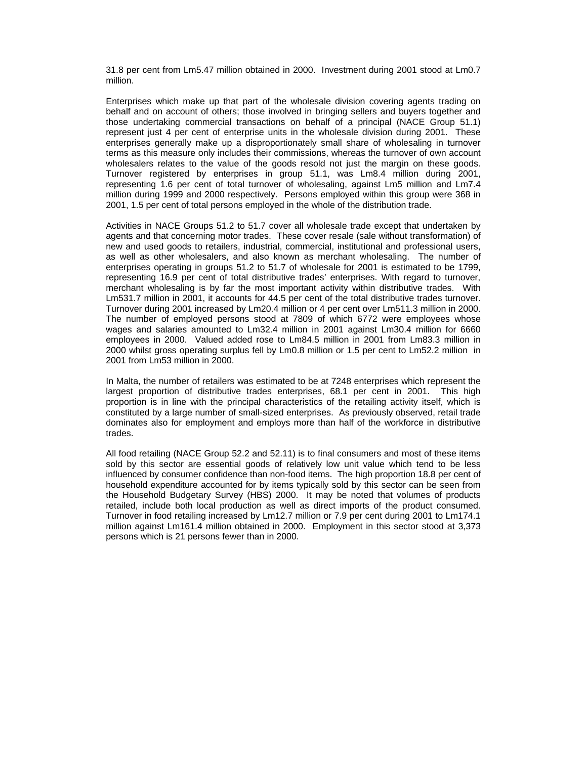31.8 per cent from Lm5.47 million obtained in 2000. Investment during 2001 stood at Lm0.7 million.

Enterprises which make up that part of the wholesale division covering agents trading on behalf and on account of others; those involved in bringing sellers and buyers together and those undertaking commercial transactions on behalf of a principal (NACE Group 51.1) represent just 4 per cent of enterprise units in the wholesale division during 2001. These enterprises generally make up a disproportionately small share of wholesaling in turnover terms as this measure only includes their commissions, whereas the turnover of own account wholesalers relates to the value of the goods resold not just the margin on these goods. Turnover registered by enterprises in group 51.1, was Lm8.4 million during 2001, representing 1.6 per cent of total turnover of wholesaling, against Lm5 million and Lm7.4 million during 1999 and 2000 respectively. Persons employed within this group were 368 in 2001, 1.5 per cent of total persons employed in the whole of the distribution trade.

Activities in NACE Groups 51.2 to 51.7 cover all wholesale trade except that undertaken by agents and that concerning motor trades. These cover resale (sale without transformation) of new and used goods to retailers, industrial, commercial, institutional and professional users, as well as other wholesalers, and also known as merchant wholesaling. The number of enterprises operating in groups 51.2 to 51.7 of wholesale for 2001 is estimated to be 1799, representing 16.9 per cent of total distributive trades' enterprises. With regard to turnover, merchant wholesaling is by far the most important activity within distributive trades. With Lm531.7 million in 2001, it accounts for 44.5 per cent of the total distributive trades turnover. Turnover during 2001 increased by Lm20.4 million or 4 per cent over Lm511.3 million in 2000. The number of employed persons stood at 7809 of which 6772 were employees whose wages and salaries amounted to Lm32.4 million in 2001 against Lm30.4 million for 6660 employees in 2000. Valued added rose to Lm84.5 million in 2001 from Lm83.3 million in 2000 whilst gross operating surplus fell by Lm0.8 million or 1.5 per cent to Lm52.2 million in 2001 from Lm53 million in 2000.

In Malta, the number of retailers was estimated to be at 7248 enterprises which represent the largest proportion of distributive trades enterprises, 68.1 per cent in 2001. This high proportion is in line with the principal characteristics of the retailing activity itself, which is constituted by a large number of small-sized enterprises. As previously observed, retail trade dominates also for employment and employs more than half of the workforce in distributive trades.

All food retailing (NACE Group 52.2 and 52.11) is to final consumers and most of these items sold by this sector are essential goods of relatively low unit value which tend to be less influenced by consumer confidence than non-food items. The high proportion 18.8 per cent of household expenditure accounted for by items typically sold by this sector can be seen from the Household Budgetary Survey (HBS) 2000. It may be noted that volumes of products retailed, include both local production as well as direct imports of the product consumed. Turnover in food retailing increased by Lm12.7 million or 7.9 per cent during 2001 to Lm174.1 million against Lm161.4 million obtained in 2000. Employment in this sector stood at 3,373 persons which is 21 persons fewer than in 2000.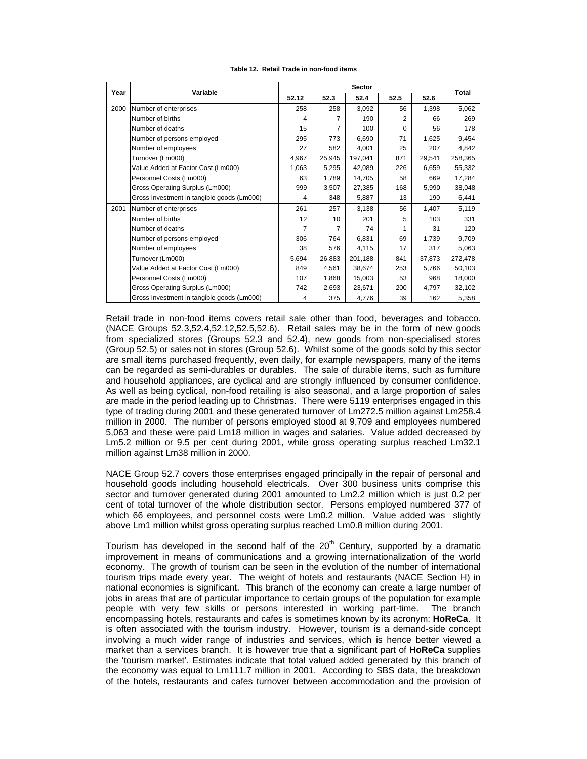## **Table 12. Retail Trade in non-food items**

| Year |                                                   |       |        |         |          |        |         |  |
|------|---------------------------------------------------|-------|--------|---------|----------|--------|---------|--|
|      | Variable                                          | 52.12 | 52.3   | 52.4    | 52.5     | 52.6   | Total   |  |
| 2000 | Number of enterprises                             | 258   | 258    | 3,092   | 56       | 1,398  | 5,062   |  |
|      | Number of births                                  | 4     | 7      | 190     | 2        | 66     | 269     |  |
|      | Number of deaths                                  | 15    | 7      | 100     | $\Omega$ | 56     | 178     |  |
|      | Number of persons employed<br>Number of employees |       | 773    | 6,690   | 71       | 1,625  | 9,454   |  |
|      |                                                   |       | 582    | 4,001   | 25       | 207    | 4,842   |  |
|      | Turnover (Lm000)                                  |       | 25,945 | 197,041 | 871      | 29,541 | 258,365 |  |
|      | Value Added at Factor Cost (Lm000)                | 1,063 | 5,295  | 42,089  | 226      | 6,659  | 55,332  |  |
|      | Personnel Costs (Lm000)                           | 63    | 1,789  | 14,705  | 58       | 669    | 17,284  |  |
|      | Gross Operating Surplus (Lm000)                   | 999   | 3,507  | 27,385  | 168      | 5,990  | 38,048  |  |
|      | Gross Investment in tangible goods (Lm000)        | 4     | 348    | 5,887   | 13       | 190    | 6,441   |  |
| 2001 | Number of enterprises                             | 261   | 257    | 3,138   | 56       | 1,407  | 5,119   |  |
|      | Number of births                                  | 12    | 10     | 201     | 5        | 103    | 331     |  |
|      | Number of deaths                                  | 7     | 7      | 74      |          | 31     | 120     |  |
|      | Number of persons employed                        | 306   | 764    | 6,831   | 69       | 1,739  | 9,709   |  |
|      | Number of employees                               | 38    | 576    | 4,115   | 17       | 317    | 5,063   |  |
|      | Turnover (Lm000)                                  | 5,694 | 26,883 | 201,188 | 841      | 37,873 | 272,478 |  |
|      | Value Added at Factor Cost (Lm000)                | 849   | 4,561  | 38,674  | 253      | 5.766  | 50,103  |  |
|      | Personnel Costs (Lm000)                           | 107   | 1,868  | 15,003  | 53       | 968    | 18,000  |  |
|      | Gross Operating Surplus (Lm000)                   | 742   | 2,693  | 23,671  | 200      | 4,797  | 32,102  |  |
|      | Gross Investment in tangible goods (Lm000)        | 4     | 375    | 4,776   | 39       | 162    | 5,358   |  |

Retail trade in non-food items covers retail sale other than food, beverages and tobacco. (NACE Groups 52.3,52.4,52.12,52.5,52.6). Retail sales may be in the form of new goods from specialized stores (Groups 52.3 and 52.4), new goods from non-specialised stores (Group 52.5) or sales not in stores (Group 52.6). Whilst some of the goods sold by this sector are small items purchased frequently, even daily, for example newspapers, many of the items can be regarded as semi-durables or durables. The sale of durable items, such as furniture and household appliances, are cyclical and are strongly influenced by consumer confidence. As well as being cyclical, non-food retailing is also seasonal, and a large proportion of sales are made in the period leading up to Christmas. There were 5119 enterprises engaged in this type of trading during 2001 and these generated turnover of Lm272.5 million against Lm258.4 million in 2000. The number of persons employed stood at 9,709 and employees numbered 5,063 and these were paid Lm18 million in wages and salaries. Value added decreased by Lm5.2 million or 9.5 per cent during 2001, while gross operating surplus reached Lm32.1 million against Lm38 million in 2000.

NACE Group 52.7 covers those enterprises engaged principally in the repair of personal and household goods including household electricals. Over 300 business units comprise this sector and turnover generated during 2001 amounted to Lm2.2 million which is just 0.2 per cent of total turnover of the whole distribution sector. Persons employed numbered 377 of which 66 employees, and personnel costs were Lm0.2 million. Value added was slightly above Lm1 million whilst gross operating surplus reached Lm0.8 million during 2001.

Tourism has developed in the second half of the  $20<sup>th</sup>$  Century, supported by a dramatic improvement in means of communications and a growing internationalization of the world economy. The growth of tourism can be seen in the evolution of the number of international tourism trips made every year. The weight of hotels and restaurants (NACE Section H) in national economies is significant. This branch of the economy can create a large number of jobs in areas that are of particular importance to certain groups of the population for example people with very few skills or persons interested in working part-time. The branch encompassing hotels, restaurants and cafes is sometimes known by its acronym: **HoReCa**. It is often associated with the tourism industry. However, tourism is a demand-side concept involving a much wider range of industries and services, which is hence better viewed a market than a services branch. It is however true that a significant part of **HoReCa** supplies the 'tourism market'. Estimates indicate that total valued added generated by this branch of the economy was equal to Lm111.7 million in 2001. According to SBS data, the breakdown of the hotels, restaurants and cafes turnover between accommodation and the provision of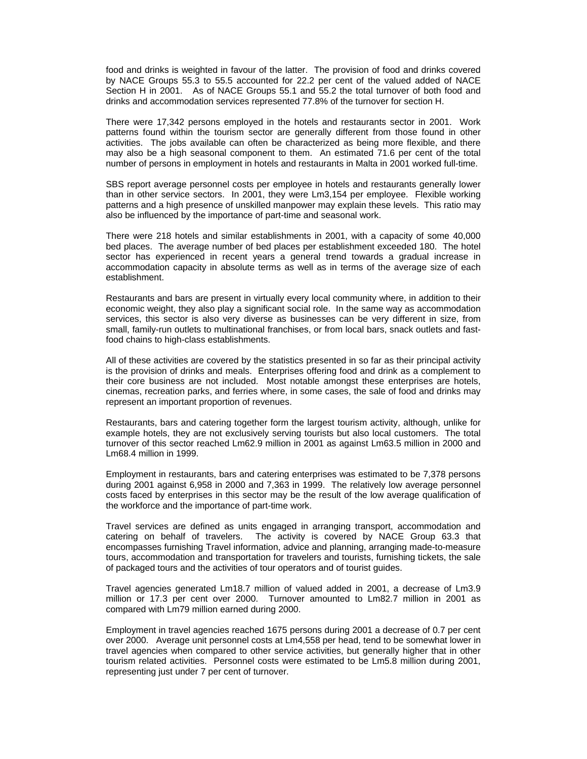food and drinks is weighted in favour of the latter. The provision of food and drinks covered by NACE Groups 55.3 to 55.5 accounted for 22.2 per cent of the valued added of NACE Section H in 2001. As of NACE Groups 55.1 and 55.2 the total turnover of both food and drinks and accommodation services represented 77.8% of the turnover for section H.

There were 17,342 persons employed in the hotels and restaurants sector in 2001. Work patterns found within the tourism sector are generally different from those found in other activities. The jobs available can often be characterized as being more flexible, and there may also be a high seasonal component to them. An estimated 71.6 per cent of the total number of persons in employment in hotels and restaurants in Malta in 2001 worked full-time.

SBS report average personnel costs per employee in hotels and restaurants generally lower than in other service sectors. In 2001, they were Lm3,154 per employee. Flexible working patterns and a high presence of unskilled manpower may explain these levels. This ratio may also be influenced by the importance of part-time and seasonal work.

There were 218 hotels and similar establishments in 2001, with a capacity of some 40,000 bed places. The average number of bed places per establishment exceeded 180. The hotel sector has experienced in recent years a general trend towards a gradual increase in accommodation capacity in absolute terms as well as in terms of the average size of each establishment.

Restaurants and bars are present in virtually every local community where, in addition to their economic weight, they also play a significant social role. In the same way as accommodation services, this sector is also very diverse as businesses can be very different in size, from small, family-run outlets to multinational franchises, or from local bars, snack outlets and fastfood chains to high-class establishments.

All of these activities are covered by the statistics presented in so far as their principal activity is the provision of drinks and meals. Enterprises offering food and drink as a complement to their core business are not included. Most notable amongst these enterprises are hotels, cinemas, recreation parks, and ferries where, in some cases, the sale of food and drinks may represent an important proportion of revenues.

Restaurants, bars and catering together form the largest tourism activity, although, unlike for example hotels, they are not exclusively serving tourists but also local customers. The total turnover of this sector reached Lm62.9 million in 2001 as against Lm63.5 million in 2000 and Lm68.4 million in 1999.

Employment in restaurants, bars and catering enterprises was estimated to be 7,378 persons during 2001 against 6,958 in 2000 and 7,363 in 1999. The relatively low average personnel costs faced by enterprises in this sector may be the result of the low average qualification of the workforce and the importance of part-time work.

Travel services are defined as units engaged in arranging transport, accommodation and catering on behalf of travelers. The activity is covered by NACE Group 63.3 that encompasses furnishing Travel information, advice and planning, arranging made-to-measure tours, accommodation and transportation for travelers and tourists, furnishing tickets, the sale of packaged tours and the activities of tour operators and of tourist guides.

Travel agencies generated Lm18.7 million of valued added in 2001, a decrease of Lm3.9 million or 17.3 per cent over 2000. Turnover amounted to Lm82.7 million in 2001 as compared with Lm79 million earned during 2000.

Employment in travel agencies reached 1675 persons during 2001 a decrease of 0.7 per cent over 2000. Average unit personnel costs at Lm4,558 per head, tend to be somewhat lower in travel agencies when compared to other service activities, but generally higher that in other tourism related activities. Personnel costs were estimated to be Lm5.8 million during 2001, representing just under 7 per cent of turnover.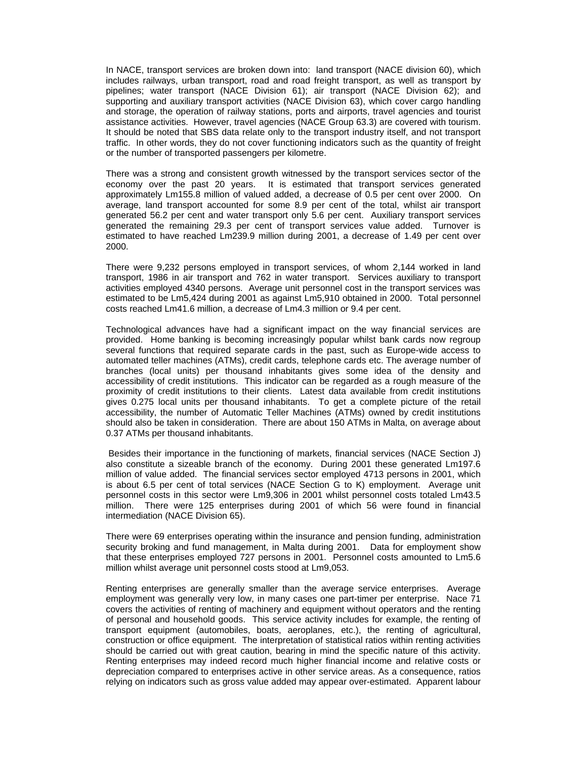In NACE, transport services are broken down into: land transport (NACE division 60), which includes railways, urban transport, road and road freight transport, as well as transport by pipelines; water transport (NACE Division 61); air transport (NACE Division 62); and supporting and auxiliary transport activities (NACE Division 63), which cover cargo handling and storage, the operation of railway stations, ports and airports, travel agencies and tourist assistance activities. However, travel agencies (NACE Group 63.3) are covered with tourism. It should be noted that SBS data relate only to the transport industry itself, and not transport traffic. In other words, they do not cover functioning indicators such as the quantity of freight or the number of transported passengers per kilometre.

There was a strong and consistent growth witnessed by the transport services sector of the economy over the past 20 years. It is estimated that transport services generated approximately Lm155.8 million of valued added, a decrease of 0.5 per cent over 2000. On average, land transport accounted for some 8.9 per cent of the total, whilst air transport generated 56.2 per cent and water transport only 5.6 per cent. Auxiliary transport services generated the remaining 29.3 per cent of transport services value added. Turnover is estimated to have reached Lm239.9 million during 2001, a decrease of 1.49 per cent over 2000.

There were 9,232 persons employed in transport services, of whom 2,144 worked in land transport, 1986 in air transport and 762 in water transport. Services auxiliary to transport activities employed 4340 persons. Average unit personnel cost in the transport services was estimated to be Lm5,424 during 2001 as against Lm5,910 obtained in 2000. Total personnel costs reached Lm41.6 million, a decrease of Lm4.3 million or 9.4 per cent.

Technological advances have had a significant impact on the way financial services are provided. Home banking is becoming increasingly popular whilst bank cards now regroup several functions that required separate cards in the past, such as Europe-wide access to automated teller machines (ATMs), credit cards, telephone cards etc. The average number of branches (local units) per thousand inhabitants gives some idea of the density and accessibility of credit institutions. This indicator can be regarded as a rough measure of the proximity of credit institutions to their clients. Latest data available from credit institutions gives 0.275 local units per thousand inhabitants. To get a complete picture of the retail accessibility, the number of Automatic Teller Machines (ATMs) owned by credit institutions should also be taken in consideration. There are about 150 ATMs in Malta, on average about 0.37 ATMs per thousand inhabitants.

 Besides their importance in the functioning of markets, financial services (NACE Section J) also constitute a sizeable branch of the economy. During 2001 these generated Lm197.6 million of value added. The financial services sector employed 4713 persons in 2001, which is about 6.5 per cent of total services (NACE Section G to K) employment. Average unit personnel costs in this sector were Lm9,306 in 2001 whilst personnel costs totaled Lm43.5 million. There were 125 enterprises during 2001 of which 56 were found in financial intermediation (NACE Division 65).

There were 69 enterprises operating within the insurance and pension funding, administration security broking and fund management, in Malta during 2001. Data for employment show that these enterprises employed 727 persons in 2001. Personnel costs amounted to Lm5.6 million whilst average unit personnel costs stood at Lm9,053.

Renting enterprises are generally smaller than the average service enterprises. Average employment was generally very low, in many cases one part-timer per enterprise. Nace 71 covers the activities of renting of machinery and equipment without operators and the renting of personal and household goods. This service activity includes for example, the renting of transport equipment (automobiles, boats, aeroplanes, etc.), the renting of agricultural, construction or office equipment. The interpretation of statistical ratios within renting activities should be carried out with great caution, bearing in mind the specific nature of this activity. Renting enterprises may indeed record much higher financial income and relative costs or depreciation compared to enterprises active in other service areas. As a consequence, ratios relying on indicators such as gross value added may appear over-estimated. Apparent labour